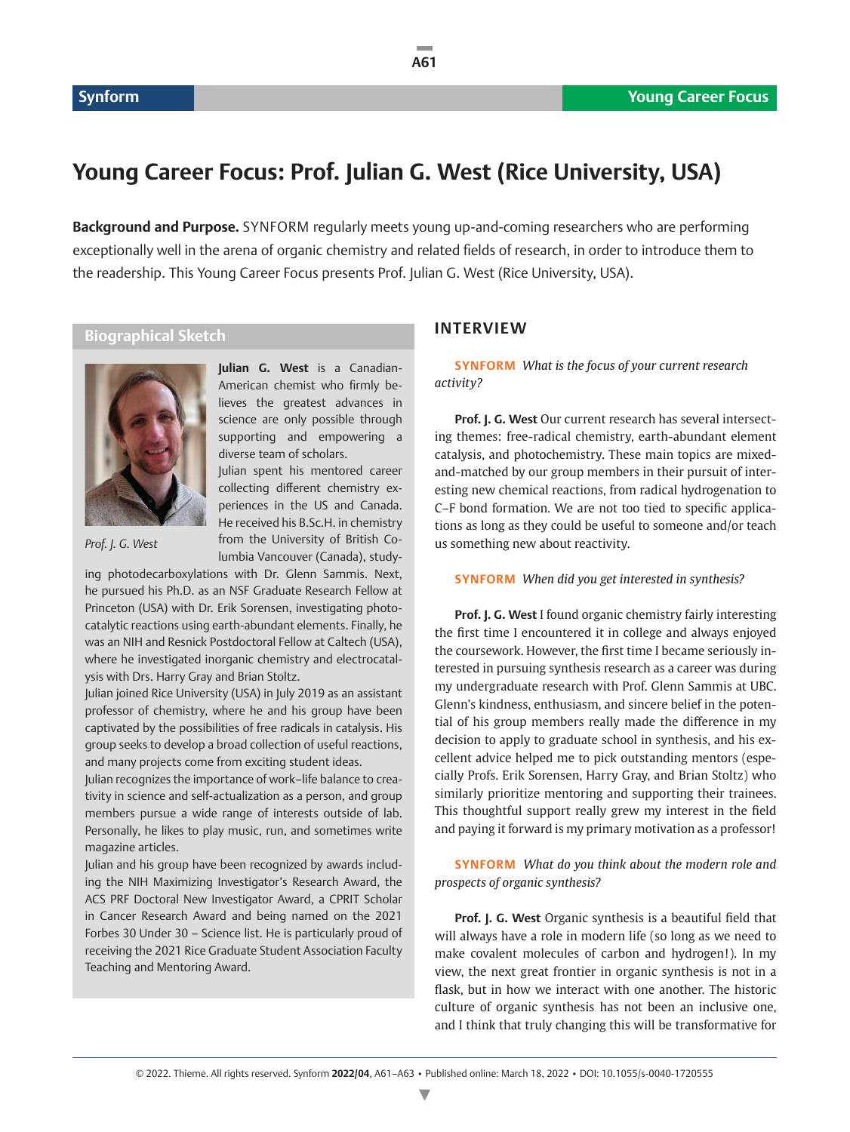# **Young Career Focus: Prof. Julian G. West (Rice University, USA)**

**Background and Purpose.** SYNFORM regularly meets young up-and-coming researchers who are performing exceptionally well in the arena of organic chemistry and related fields of research, in order to introduce them to the readership. This Young Career Focus presents Prof. Julian G. West (Rice University, USA).

**A61**

## **Biographical Sketch**



*Prof. J. G. West*

**Julian G. West** is a Canadian-American chemist who firmly believes the greatest advances in science are only possible through supporting and empowering a diverse team of scholars.

Julian spent his mentored career collecting different chemistry experiences in the US and Canada. He received his B.Sc.H. in chemistry from the University of British Columbia Vancouver (Canada), study-

ing photodecarboxylations with Dr. Glenn Sammis. Next, he pursued his Ph.D. as an NSF Graduate Research Fellow at Princeton (USA) with Dr. Erik Sorensen, investigating photocatalytic reactions using earth-abundant elements. Finally, he was an NIH and Resnick Postdoctoral Fellow at Caltech (USA), where he investigated inorganic chemistry and electrocatalysis with Drs. Harry Gray and Brian Stoltz.

Julian joined Rice University (USA) in July 2019 as an assistant professor of chemistry, where he and his group have been captivated by the possibilities of free radicals in catalysis. His group seeks to develop a broad collection of useful reactions, and many projects come from exciting student ideas.

Julian recognizes the importance of work–life balance to creativity in science and self-actualization as a person, and group members pursue a wide range of interests outside of lab. Personally, he likes to play music, run, and sometimes write magazine articles.

Julian and his group have been recognized by awards including the NIH Maximizing Investigator's Research Award, the ACS PRF Doctoral New Investigator Award, a CPRIT Scholar in Cancer Research Award and being named on the 2021 Forbes 30 Under 30 – Science list. He is particularly proud of receiving the 2021 Rice Graduate Student Association Faculty Teaching and Mentoring Award.

### **INTERVIEW**

**SYNFORM** *What is the focus of your current research activity?*

**Prof. J. G. West** Our current research has several intersecting themes: free-radical chemistry, earth-abundant element catalysis, and photochemistry. These main topics are mixedand-matched by our group members in their pursuit of interesting new chemical reactions, from radical hydrogenation to C–F bond formation. We are not too tied to specific applications as long as they could be useful to someone and/or teach us something new about reactivity.

#### **SYNFORM** *When did you get interested in synthesis?*

**Prof. J. G. West** I found organic chemistry fairly interesting the first time I encountered it in college and always enjoyed the coursework. However, the first time I became seriously interested in pursuing synthesis research as a career was during my undergraduate research with Prof. Glenn Sammis at UBC. Glenn's kindness, enthusiasm, and sincere belief in the potential of his group members really made the difference in my decision to apply to graduate school in synthesis, and his excellent advice helped me to pick outstanding mentors (especially Profs. Erik Sorensen, Harry Gray, and Brian Stoltz) who similarly prioritize mentoring and supporting their trainees. This thoughtful support really grew my interest in the field and paying it forward is my primary motivation as a professor!

**SYNFORM** *What do you think about the modern role and prospects of organic synthesis?*

**Prof. J. G. West** Organic synthesis is a beautiful field that will always have a role in modern life (so long as we need to make covalent molecules of carbon and hydrogen!). In my view, the next great frontier in organic synthesis is not in a flask, but in how we interact with one another. The historic culture of organic synthesis has not been an inclusive one, and I think that truly changing this will be transformative for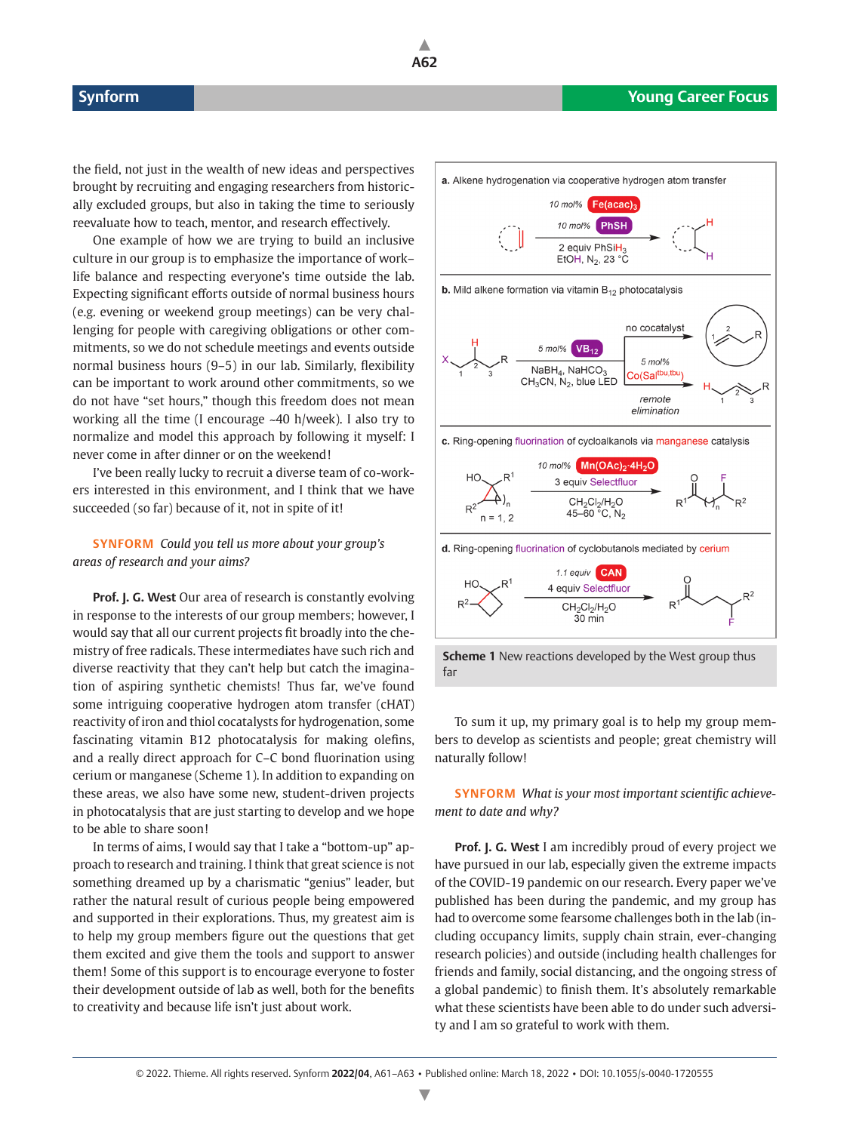the field, not just in the wealth of new ideas and perspectives brought by recruiting and engaging researchers from historically excluded groups, but also in taking the time to seriously reevaluate how to teach, mentor, and research effectively.

One example of how we are trying to build an inclusive culture in our group is to emphasize the importance of work– life balance and respecting everyone's time outside the lab. Expecting significant efforts outside of normal business hours (e.g. evening or weekend group meetings) can be very challenging for people with caregiving obligations or other commitments, so we do not schedule meetings and events outside normal business hours (9–5) in our lab. Similarly, flexibility can be important to work around other commitments, so we do not have "set hours," though this freedom does not mean working all the time (I encourage ~40 h/week). I also try to normalize and model this approach by following it myself: I never come in after dinner or on the weekend!

I've been really lucky to recruit a diverse team of co-workers interested in this environment, and I think that we have succeeded (so far) because of it, not in spite of it!

#### **SYNFORM** *Could you tell us more about your group's areas of research and your aims?*

**Prof. J. G. West Our area of research is constantly evolving** in response to the interests of our group members; however, I would say that all our current projects fit broadly into the chemistry of free radicals. These intermediates have such rich and diverse reactivity that they can't help but catch the imagination of aspiring synthetic chemists! Thus far, we've found some intriguing cooperative hydrogen atom transfer (cHAT) reactivity of iron and thiol cocatalysts for hydrogenation, some fascinating vitamin B12 photocatalysis for making olefins, and a really direct approach for C–C bond fluorination using cerium or manganese (Scheme 1). In addition to expanding on these areas, we also have some new, student-driven projects in photocatalysis that are just starting to develop and we hope to be able to share soon!

In terms of aims, I would say that I take a "bottom-up" approach to research and training. I think that great science is not something dreamed up by a charismatic "genius" leader, but rather the natural result of curious people being empowered and supported in their explorations. Thus, my greatest aim is to help my group members figure out the questions that get them excited and give them the tools and support to answer them! Some of this support is to encourage everyone to foster their development outside of lab as well, both for the benefits to creativity and because life isn't just about work.



far

To sum it up, my primary goal is to help my group members to develop as scientists and people; great chemistry will naturally follow!

**SYNFORM** *What is your most important scientific achievement to date and why?*

**Prof. J. G. West** I am incredibly proud of every project we have pursued in our lab, especially given the extreme impacts of the COVID-19 pandemic on our research. Every paper we've published has been during the pandemic, and my group has had to overcome some fearsome challenges both in the lab (including occupancy limits, supply chain strain, ever-changing research policies) and outside (including health challenges for friends and family, social distancing, and the ongoing stress of a global pandemic) to finish them. It's absolutely remarkable what these scientists have been able to do under such adversity and I am so grateful to work with them.

**A62**